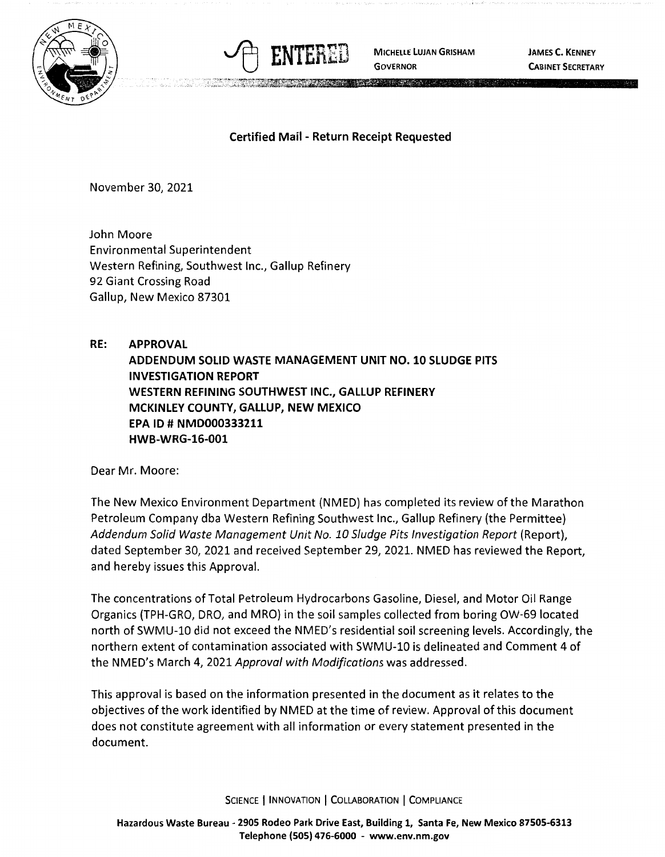



**GOVERNOR** 

**JAMES C. KENNEY CABINET SECRETARY** 

## **Certified Mail** - **Return Receipt Requested**

November 30, 2021

John Moore Environmental Superintendent Western Refining, Southwest Inc., Gallup Refinery 92 Giant Crossing Road Gallup, New Mexico 87301

## **RE: APPROVAL ADDENDUM SOLID WASTE MANAGEMENT UNIT NO. 10 SLUDGE PITS INVESTIGATION REPORT WESTERN REFINING SOUTHWEST INC., GALLUP REFINERY MCKINLEY COUNTY, GALLUP, NEW MEXICO EPA ID# NMD000333211 HWB-WRG-16-001**

Dear Mr. Moore:

The New Mexico Environment Department (NMED) has completed its review of the Marathon Petroleum Company dba Western Refining Southwest Inc., Gallup Refinery (the Permittee) Addendum Solid Waste Management Unit No. 10 Sludge Pits Investigation Report (Report), dated September 30, 2021 and received September 29, 2021. NMED has reviewed the Report, and hereby issues this Approval.

The concentrations of Total Petroleum Hydrocarbons Gasoline, Diesel, and Motor Oil Range Organics (TPH-GRO, ORO, and MRO) in the soil samples collected from boring OW-69 located north of SWMU-10 did not exceed the NMED's residential soil screening levels. Accordingly, the northern extent of contamination associated with SWMU-10 is delineated and Comment 4 of the NMED's March 4, 2021 Approval with Modifications was addressed.

This approval is based on the information presented in the document as it relates to the objectives of the work identified by NMED at the time of review. Approval of this document does not constitute agreement with all information or every statement presented in the document.

SCIENCE | INNOVATION | COLLABORATION | COMPLIANCE